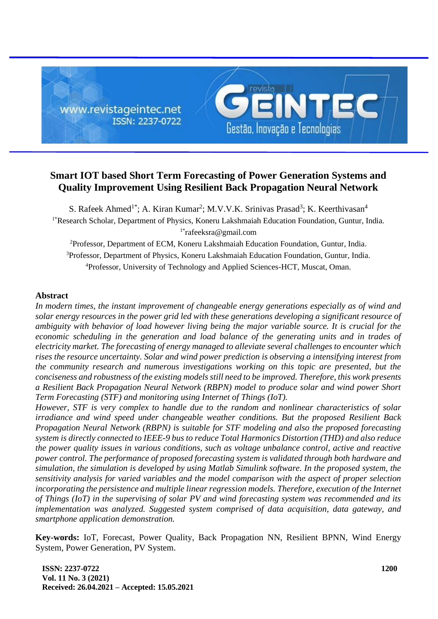

# **Smart IOT based Short Term Forecasting of Power Generation Systems and Quality Improvement Using Resilient Back Propagation Neural Network**

S. Rafeek Ahmed<sup>1\*</sup>; A. Kiran Kumar<sup>2</sup>; M.V.V.K. Srinivas Prasad<sup>3</sup>; K. Keerthivasan<sup>4</sup> <sup>1\*</sup>Research Scholar, Department of Physics, Koneru Lakshmaiah Education Foundation, Guntur, India. 1\*rafeeksra@gmail.com

<sup>2</sup>Professor, Department of ECM, Koneru Lakshmaiah Education Foundation, Guntur, India. <sup>3</sup>Professor, Department of Physics, Koneru Lakshmaiah Education Foundation, Guntur, India. <sup>4</sup>Professor, University of Technology and Applied Sciences-HCT, Muscat, Oman.

# **Abstract**

*In modern times, the instant improvement of changeable energy generations especially as of wind and solar energy resources in the power grid led with these generations developing a significant resource of ambiguity with behavior of load however living being the major variable source. It is crucial for the economic scheduling in the generation and load balance of the generating units and in trades of electricity market. The forecasting of energy managed to alleviate several challenges to encounter which rises the resource uncertainty. Solar and wind power prediction is observing a intensifying interest from the community research and numerous investigations working on this topic are presented, but the conciseness and robustness of the existing models still need to be improved. Therefore, this work presents a Resilient Back Propagation Neural Network (RBPN) model to produce solar and wind power Short Term Forecasting (STF) and monitoring using Internet of Things (IoT).* 

*However, STF is very complex to handle due to the random and nonlinear characteristics of solar irradiance and wind speed under changeable weather conditions. But the proposed Resilient Back Propagation Neural Network (RBPN) is suitable for STF modeling and also the proposed forecasting system is directly connected to IEEE-9 bus to reduce Total Harmonics Distortion (THD) and also reduce the power quality issues in various conditions, such as voltage unbalance control, active and reactive power control. The performance of proposed forecasting system is validated through both hardware and simulation, the simulation is developed by using Matlab Simulink software. In the proposed system, the sensitivity analysis for varied variables and the model comparison with the aspect of proper selection incorporating the persistence and multiple linear regression models. Therefore, execution of the Internet of Things (IoT) in the supervising of solar PV and wind forecasting system was recommended and its implementation was analyzed. Suggested system comprised of data acquisition, data gateway, and smartphone application demonstration.*

**Key-words:** IoT, Forecast, Power Quality, Back Propagation NN, Resilient BPNN, Wind Energy System, Power Generation, PV System.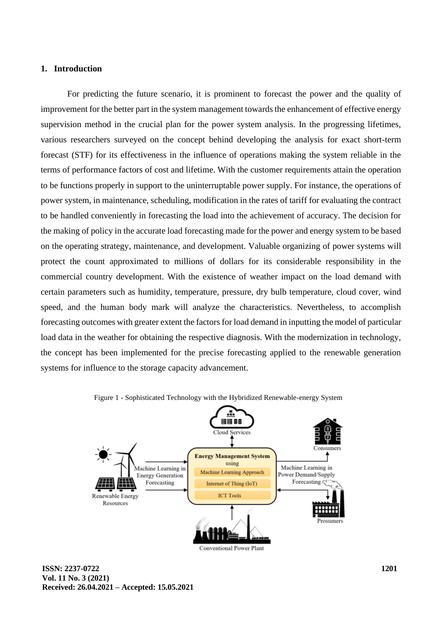# **1. Introduction**

For predicting the future scenario, it is prominent to forecast the power and the quality of improvement for the better part in the system management towards the enhancement of effective energy supervision method in the crucial plan for the power system analysis. In the progressing lifetimes, various researchers surveyed on the concept behind developing the analysis for exact short-term forecast (STF) for its effectiveness in the influence of operations making the system reliable in the terms of performance factors of cost and lifetime. With the customer requirements attain the operation to be functions properly in support to the uninterruptable power supply. For instance, the operations of power system, in maintenance, scheduling, modification in the rates of tariff for evaluating the contract to be handled conveniently in forecasting the load into the achievement of accuracy. The decision for the making of policy in the accurate load forecasting made for the power and energy system to be based on the operating strategy, maintenance, and development. Valuable organizing of power systems will protect the count approximated to millions of dollars for its considerable responsibility in the commercial country development. With the existence of weather impact on the load demand with certain parameters such as humidity, temperature, pressure, dry bulb temperature, cloud cover, wind speed, and the human body mark will analyze the characteristics. Nevertheless, to accomplish forecasting outcomes with greater extent the factors for load demand in inputting the model of particular load data in the weather for obtaining the respective diagnosis. With the modernization in technology, the concept has been implemented for the precise forecasting applied to the renewable generation systems for influence to the storage capacity advancement.



Figure 1 - Sophisticated Technology with the Hybridized Renewable-energy System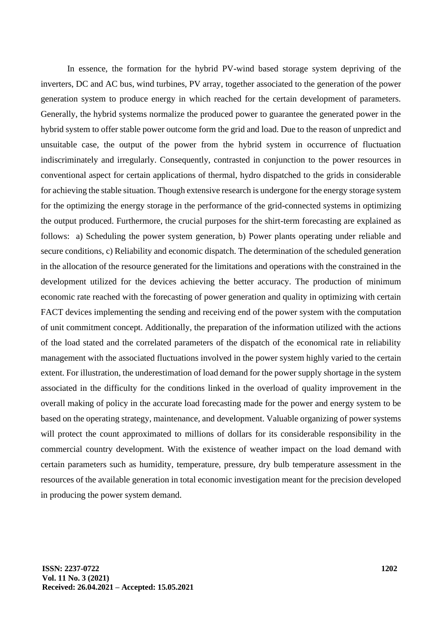In essence, the formation for the hybrid PV-wind based storage system depriving of the inverters, DC and AC bus, wind turbines, PV array, together associated to the generation of the power generation system to produce energy in which reached for the certain development of parameters. Generally, the hybrid systems normalize the produced power to guarantee the generated power in the hybrid system to offer stable power outcome form the grid and load. Due to the reason of unpredict and unsuitable case, the output of the power from the hybrid system in occurrence of fluctuation indiscriminately and irregularly. Consequently, contrasted in conjunction to the power resources in conventional aspect for certain applications of thermal, hydro dispatched to the grids in considerable for achieving the stable situation. Though extensive research is undergone for the energy storage system for the optimizing the energy storage in the performance of the grid-connected systems in optimizing the output produced. Furthermore, the crucial purposes for the shirt-term forecasting are explained as follows: a) Scheduling the power system generation, b) Power plants operating under reliable and secure conditions, c) Reliability and economic dispatch. The determination of the scheduled generation in the allocation of the resource generated for the limitations and operations with the constrained in the development utilized for the devices achieving the better accuracy. The production of minimum economic rate reached with the forecasting of power generation and quality in optimizing with certain FACT devices implementing the sending and receiving end of the power system with the computation of unit commitment concept. Additionally, the preparation of the information utilized with the actions of the load stated and the correlated parameters of the dispatch of the economical rate in reliability management with the associated fluctuations involved in the power system highly varied to the certain extent. For illustration, the underestimation of load demand for the power supply shortage in the system associated in the difficulty for the conditions linked in the overload of quality improvement in the overall making of policy in the accurate load forecasting made for the power and energy system to be based on the operating strategy, maintenance, and development. Valuable organizing of power systems will protect the count approximated to millions of dollars for its considerable responsibility in the commercial country development. With the existence of weather impact on the load demand with certain parameters such as humidity, temperature, pressure, dry bulb temperature assessment in the resources of the available generation in total economic investigation meant for the precision developed in producing the power system demand.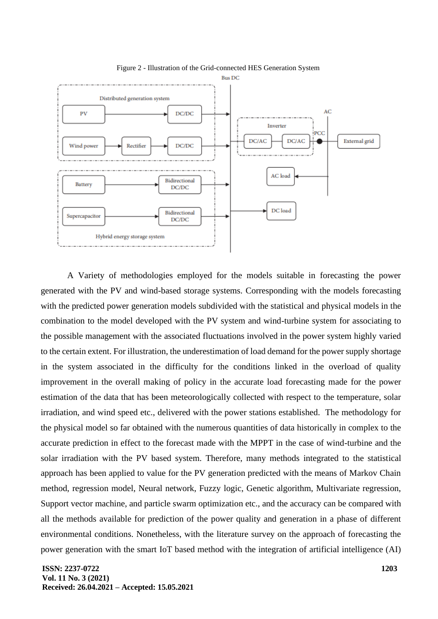

Figure 2 - Illustration of the Grid-connected HES Generation System

A Variety of methodologies employed for the models suitable in forecasting the power generated with the PV and wind-based storage systems. Corresponding with the models forecasting with the predicted power generation models subdivided with the statistical and physical models in the combination to the model developed with the PV system and wind-turbine system for associating to the possible management with the associated fluctuations involved in the power system highly varied to the certain extent. For illustration, the underestimation of load demand for the power supply shortage in the system associated in the difficulty for the conditions linked in the overload of quality improvement in the overall making of policy in the accurate load forecasting made for the power estimation of the data that has been meteorologically collected with respect to the temperature, solar irradiation, and wind speed etc., delivered with the power stations established. The methodology for the physical model so far obtained with the numerous quantities of data historically in complex to the accurate prediction in effect to the forecast made with the MPPT in the case of wind-turbine and the solar irradiation with the PV based system. Therefore, many methods integrated to the statistical approach has been applied to value for the PV generation predicted with the means of Markov Chain method, regression model, Neural network, Fuzzy logic, Genetic algorithm, Multivariate regression, Support vector machine, and particle swarm optimization etc., and the accuracy can be compared with all the methods available for prediction of the power quality and generation in a phase of different environmental conditions. Nonetheless, with the literature survey on the approach of forecasting the power generation with the smart IoT based method with the integration of artificial intelligence (AI)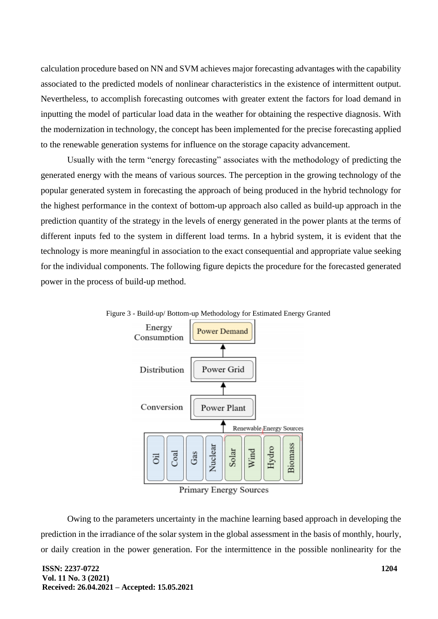calculation procedure based on NN and SVM achieves major forecasting advantages with the capability associated to the predicted models of nonlinear characteristics in the existence of intermittent output. Nevertheless, to accomplish forecasting outcomes with greater extent the factors for load demand in inputting the model of particular load data in the weather for obtaining the respective diagnosis. With the modernization in technology, the concept has been implemented for the precise forecasting applied to the renewable generation systems for influence on the storage capacity advancement.

Usually with the term "energy forecasting" associates with the methodology of predicting the generated energy with the means of various sources. The perception in the growing technology of the popular generated system in forecasting the approach of being produced in the hybrid technology for the highest performance in the context of bottom-up approach also called as build-up approach in the prediction quantity of the strategy in the levels of energy generated in the power plants at the terms of different inputs fed to the system in different load terms. In a hybrid system, it is evident that the technology is more meaningful in association to the exact consequential and appropriate value seeking for the individual components. The following figure depicts the procedure for the forecasted generated power in the process of build-up method.



Figure 3 - Build-up/ Bottom-up Methodology for Estimated Energy Granted

Primary Energy Sources

Owing to the parameters uncertainty in the machine learning based approach in developing the prediction in the irradiance of the solar system in the global assessment in the basis of monthly, hourly, or daily creation in the power generation. For the intermittence in the possible nonlinearity for the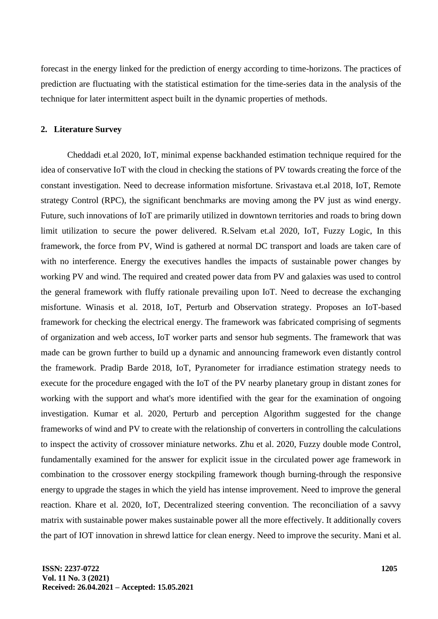forecast in the energy linked for the prediction of energy according to time-horizons. The practices of prediction are fluctuating with the statistical estimation for the time-series data in the analysis of the technique for later intermittent aspect built in the dynamic properties of methods.

## **2. Literature Survey**

Cheddadi et.al 2020, IoT, minimal expense backhanded estimation technique required for the idea of conservative IoT with the cloud in checking the stations of PV towards creating the force of the constant investigation. Need to decrease information misfortune. Srivastava et.al 2018, IoT, Remote strategy Control (RPC), the significant benchmarks are moving among the PV just as wind energy. Future, such innovations of IoT are primarily utilized in downtown territories and roads to bring down limit utilization to secure the power delivered. R.Selvam et.al 2020, IoT, Fuzzy Logic, In this framework, the force from PV, Wind is gathered at normal DC transport and loads are taken care of with no interference. Energy the executives handles the impacts of sustainable power changes by working PV and wind. The required and created power data from PV and galaxies was used to control the general framework with fluffy rationale prevailing upon IoT. Need to decrease the exchanging misfortune. Winasis et al. 2018, IoT, Perturb and Observation strategy. Proposes an IoT-based framework for checking the electrical energy. The framework was fabricated comprising of segments of organization and web access, IoT worker parts and sensor hub segments. The framework that was made can be grown further to build up a dynamic and announcing framework even distantly control the framework. Pradip Barde 2018, IoT, Pyranometer for irradiance estimation strategy needs to execute for the procedure engaged with the IoT of the PV nearby planetary group in distant zones for working with the support and what's more identified with the gear for the examination of ongoing investigation. Kumar et al. 2020, Perturb and perception Algorithm suggested for the change frameworks of wind and PV to create with the relationship of converters in controlling the calculations to inspect the activity of crossover miniature networks. Zhu et al. 2020, Fuzzy double mode Control, fundamentally examined for the answer for explicit issue in the circulated power age framework in combination to the crossover energy stockpiling framework though burning-through the responsive energy to upgrade the stages in which the yield has intense improvement. Need to improve the general reaction. Khare et al. 2020, IoT, Decentralized steering convention. The reconciliation of a savvy matrix with sustainable power makes sustainable power all the more effectively. It additionally covers the part of IOT innovation in shrewd lattice for clean energy. Need to improve the security. Mani et al.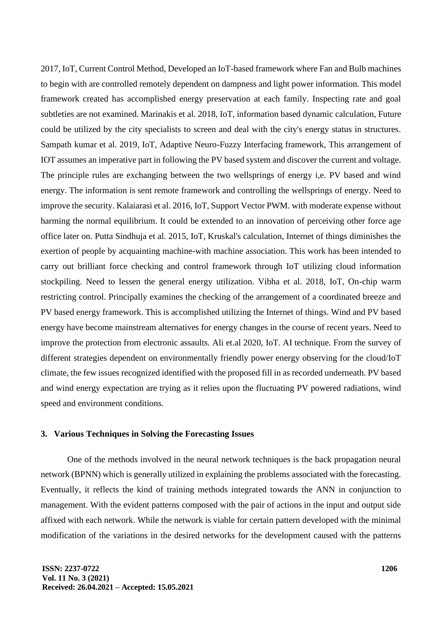2017, IoT, Current Control Method, Developed an IoT-based framework where Fan and Bulb machines to begin with are controlled remotely dependent on dampness and light power information. This model framework created has accomplished energy preservation at each family. Inspecting rate and goal subtleties are not examined. Marinakis et al. 2018, IoT, information based dynamic calculation, Future could be utilized by the city specialists to screen and deal with the city's energy status in structures. Sampath kumar et al. 2019, IoT, Adaptive Neuro-Fuzzy Interfacing framework, This arrangement of IOT assumes an imperative part in following the PV based system and discover the current and voltage. The principle rules are exchanging between the two wellsprings of energy i,e. PV based and wind energy. The information is sent remote framework and controlling the wellsprings of energy. Need to improve the security. Kalaiarasi et al. 2016, IoT, Support Vector PWM. with moderate expense without harming the normal equilibrium. It could be extended to an innovation of perceiving other force age office later on. Putta Sindhuja et al. 2015, IoT, Kruskal's calculation, Internet of things diminishes the exertion of people by acquainting machine-with machine association. This work has been intended to carry out brilliant force checking and control framework through IoT utilizing cloud information stockpiling. Need to lessen the general energy utilization. Vibha et al. 2018, IoT, On-chip warm restricting control. Principally examines the checking of the arrangement of a coordinated breeze and PV based energy framework. This is accomplished utilizing the Internet of things. Wind and PV based energy have become mainstream alternatives for energy changes in the course of recent years. Need to improve the protection from electronic assaults. Ali et.al 2020, IoT. AI technique. From the survey of different strategies dependent on environmentally friendly power energy observing for the cloud/IoT climate, the few issues recognized identified with the proposed fill in as recorded underneath. PV based and wind energy expectation are trying as it relies upon the fluctuating PV powered radiations, wind speed and environment conditions.

#### **3. Various Techniques in Solving the Forecasting Issues**

One of the methods involved in the neural network techniques is the back propagation neural network (BPNN) which is generally utilized in explaining the problems associated with the forecasting. Eventually, it reflects the kind of training methods integrated towards the ANN in conjunction to management. With the evident patterns composed with the pair of actions in the input and output side affixed with each network. While the network is viable for certain pattern developed with the minimal modification of the variations in the desired networks for the development caused with the patterns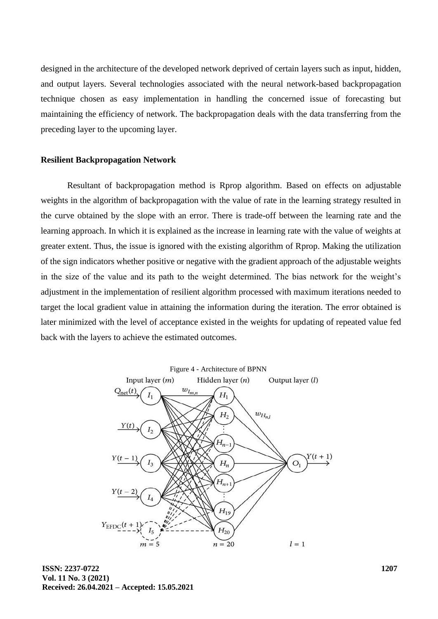designed in the architecture of the developed network deprived of certain layers such as input, hidden, and output layers. Several technologies associated with the neural network-based backpropagation technique chosen as easy implementation in handling the concerned issue of forecasting but maintaining the efficiency of network. The backpropagation deals with the data transferring from the preceding layer to the upcoming layer.

#### **Resilient Backpropagation Network**

Resultant of backpropagation method is Rprop algorithm. Based on effects on adjustable weights in the algorithm of backpropagation with the value of rate in the learning strategy resulted in the curve obtained by the slope with an error. There is trade-off between the learning rate and the learning approach. In which it is explained as the increase in learning rate with the value of weights at greater extent. Thus, the issue is ignored with the existing algorithm of Rprop. Making the utilization of the sign indicators whether positive or negative with the gradient approach of the adjustable weights in the size of the value and its path to the weight determined. The bias network for the weight's adjustment in the implementation of resilient algorithm processed with maximum iterations needed to target the local gradient value in attaining the information during the iteration. The error obtained is later minimized with the level of acceptance existed in the weights for updating of repeated value fed back with the layers to achieve the estimated outcomes.



**ISSN: 2237-0722 Vol. 11 No. 3 (2021) Received: 26.04.2021 – Accepted: 15.05.2021**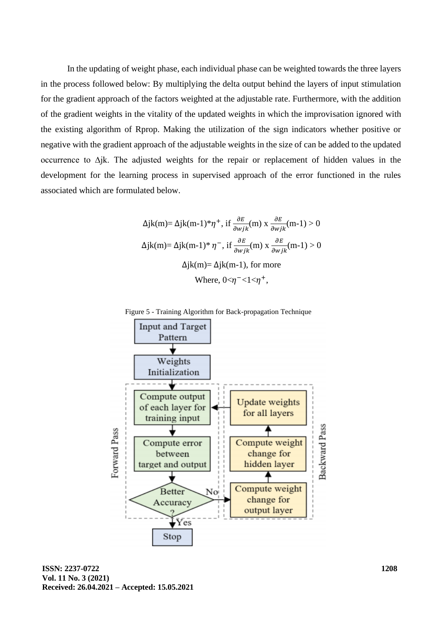In the updating of weight phase, each individual phase can be weighted towards the three layers in the process followed below: By multiplying the delta output behind the layers of input stimulation for the gradient approach of the factors weighted at the adjustable rate. Furthermore, with the addition of the gradient weights in the vitality of the updated weights in which the improvisation ignored with the existing algorithm of Rprop. Making the utilization of the sign indicators whether positive or negative with the gradient approach of the adjustable weights in the size of can be added to the updated occurrence to ∆jk. The adjusted weights for the repair or replacement of hidden values in the development for the learning process in supervised approach of the error functioned in the rules associated which are formulated below.

$$
\Delta jk(m) = \Delta jk(m-1) * \eta^+, \text{ if } \frac{\partial E}{\partial wjk}(m) \ge \frac{\partial E}{\partial wjk}(m-1) > 0
$$

$$
\Delta jk(m) = \Delta jk(m-1) * \eta^-, \text{ if } \frac{\partial E}{\partial wjk}(m) \ge \frac{\partial E}{\partial wjk}(m-1) > 0
$$

$$
\Delta jk(m) = \Delta jk(m-1), \text{ for more}
$$

$$
\text{Where, } 0 < \eta^- < 1 < \eta^+,
$$





**ISSN: 2237-0722 Vol. 11 No. 3 (2021) Received: 26.04.2021 – Accepted: 15.05.2021**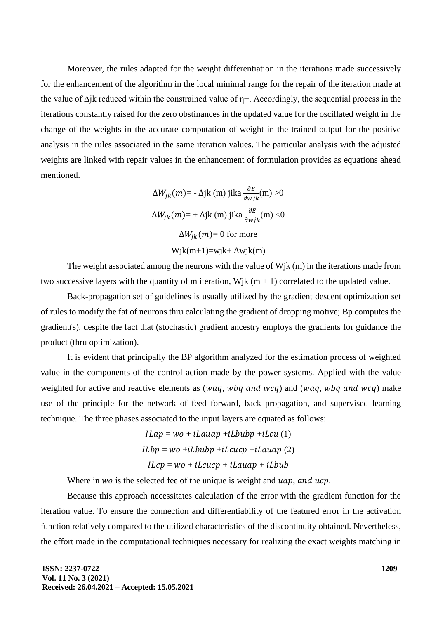Moreover, the rules adapted for the weight differentiation in the iterations made successively for the enhancement of the algorithm in the local minimal range for the repair of the iteration made at the value of ∆jk reduced within the constrained value of η−. Accordingly, the sequential process in the iterations constantly raised for the zero obstinances in the updated value for the oscillated weight in the change of the weights in the accurate computation of weight in the trained output for the positive analysis in the rules associated in the same iteration values. The particular analysis with the adjusted weights are linked with repair values in the enhancement of formulation provides as equations ahead mentioned.

$$
\Delta W_{jk}(m) = -\Delta jk(m) \text{ jika } \frac{\partial E}{\partial wjk}(m) > 0
$$

$$
\Delta W_{jk}(m) = +\Delta jk(m) \text{ jika } \frac{\partial E}{\partial wjk}(m) < 0
$$

$$
\Delta W_{jk}(m) = 0 \text{ for more}
$$

$$
\text{Wjk}(m+1) = \text{wjk} + \Delta \text{wjk}(m)
$$

The weight associated among the neurons with the value of Wjk (m) in the iterations made from two successive layers with the quantity of m iteration, Wik  $(m + 1)$  correlated to the updated value.

Back-propagation set of guidelines is usually utilized by the gradient descent optimization set of rules to modify the fat of neurons thru calculating the gradient of dropping motive; Bp computes the gradient(s), despite the fact that (stochastic) gradient ancestry employs the gradients for guidance the product (thru optimization).

It is evident that principally the BP algorithm analyzed for the estimation process of weighted value in the components of the control action made by the power systems. Applied with the value weighted for active and reactive elements as  $(waq, wbq, and wcq)$  and  $(waq, wbq, and wcq)$  make use of the principle for the network of feed forward, back propagation, and supervised learning technique. The three phases associated to the input layers are equated as follows:

> $ILap = wo + iLauap + iLbubp + iLcu(1)$  $ILbp = wo + iLbubp + iLcucp + iLauap(2)$  $ILcp = wo + ilcucp + ilauap + ilbub$

Where in  $wo$  is the selected fee of the unique is weight and  $uap$ , and  $ucp$ .

Because this approach necessitates calculation of the error with the gradient function for the iteration value. To ensure the connection and differentiability of the featured error in the activation function relatively compared to the utilized characteristics of the discontinuity obtained. Nevertheless, the effort made in the computational techniques necessary for realizing the exact weights matching in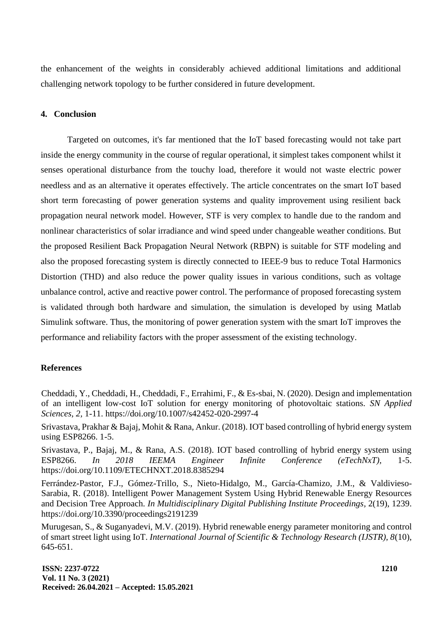the enhancement of the weights in considerably achieved additional limitations and additional challenging network topology to be further considered in future development.

## **4. Conclusion**

Targeted on outcomes, it's far mentioned that the IoT based forecasting would not take part inside the energy community in the course of regular operational, it simplest takes component whilst it senses operational disturbance from the touchy load, therefore it would not waste electric power needless and as an alternative it operates effectively. The article concentrates on the smart IoT based short term forecasting of power generation systems and quality improvement using resilient back propagation neural network model. However, STF is very complex to handle due to the random and nonlinear characteristics of solar irradiance and wind speed under changeable weather conditions. But the proposed Resilient Back Propagation Neural Network (RBPN) is suitable for STF modeling and also the proposed forecasting system is directly connected to IEEE-9 bus to reduce Total Harmonics Distortion (THD) and also reduce the power quality issues in various conditions, such as voltage unbalance control, active and reactive power control. The performance of proposed forecasting system is validated through both hardware and simulation, the simulation is developed by using Matlab Simulink software. Thus, the monitoring of power generation system with the smart IoT improves the performance and reliability factors with the proper assessment of the existing technology.

## **References**

Cheddadi, Y., Cheddadi, H., Cheddadi, F., Errahimi, F., & Es-sbai, N. (2020). Design and implementation of an intelligent low-cost IoT solution for energy monitoring of photovoltaic stations. *SN Applied Sciences, 2,* 1-11. https://doi.org/10.1007/s42452-020-2997-4

Srivastava, Prakhar & Bajaj, Mohit & Rana, Ankur. (2018). IOT based controlling of hybrid energy system using ESP8266. 1-5.

Srivastava, P., Bajaj, M., & Rana, A.S. (2018). IOT based controlling of hybrid energy system using ESP8266. *In 2018 IEEMA Engineer Infinite Conference (eTechNxT),* 1-5. https://doi.org/10.1109/ETECHNXT.2018.8385294

Ferrández-Pastor, F.J., Gómez-Trillo, S., Nieto-Hidalgo, M., García-Chamizo, J.M., & Valdivieso-Sarabia, R. (2018). Intelligent Power Management System Using Hybrid Renewable Energy Resources and Decision Tree Approach. *In Multidisciplinary Digital Publishing Institute Proceedings,* 2(19), 1239. https://doi.org/10.3390/proceedings2191239

Murugesan, S., & Suganyadevi, M.V. (2019). Hybrid renewable energy parameter monitoring and control of smart street light using IoT. *International Journal of Scientific & Technology Research (IJSTR), 8*(10), 645-651.